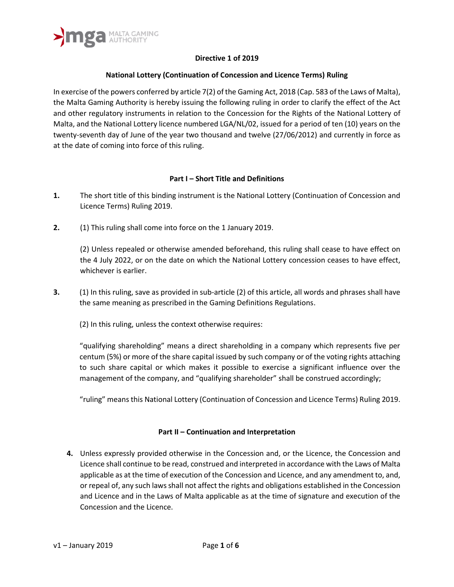

## **Directive 1 of 2019**

## **National Lottery (Continuation of Concession and Licence Terms) Ruling**

In exercise of the powers conferred by article 7(2) of the Gaming Act, 2018 (Cap. 583 of the Laws of Malta), the Malta Gaming Authority is hereby issuing the following ruling in order to clarify the effect of the Act and other regulatory instruments in relation to the Concession for the Rights of the National Lottery of Malta, and the National Lottery licence numbered LGA/NL/02, issued for a period of ten (10) years on the twenty-seventh day of June of the year two thousand and twelve (27/06/2012) and currently in force as at the date of coming into force of this ruling.

## **Part I – Short Title and Definitions**

- **1.** The short title of this binding instrument is the National Lottery (Continuation of Concession and Licence Terms) Ruling 2019.
- **2.** (1) This ruling shall come into force on the 1 January 2019.

(2) Unless repealed or otherwise amended beforehand, this ruling shall cease to have effect on the 4 July 2022, or on the date on which the National Lottery concession ceases to have effect, whichever is earlier.

- **3.** (1) In this ruling, save as provided in sub-article (2) of this article, all words and phrases shall have the same meaning as prescribed in the Gaming Definitions Regulations.
	- (2) In this ruling, unless the context otherwise requires:

"qualifying shareholding" means a direct shareholding in a company which represents five per centum (5%) or more of the share capital issued by such company or of the voting rights attaching to such share capital or which makes it possible to exercise a significant influence over the management of the company, and "qualifying shareholder" shall be construed accordingly;

"ruling" means this National Lottery (Continuation of Concession and Licence Terms) Ruling 2019.

## **Part II – Continuation and Interpretation**

**4.** Unless expressly provided otherwise in the Concession and, or the Licence, the Concession and Licence shall continue to be read, construed and interpreted in accordance with the Laws of Malta applicable as at the time of execution of the Concession and Licence, and any amendment to, and, or repeal of, any such laws shall not affect the rights and obligations established in the Concession and Licence and in the Laws of Malta applicable as at the time of signature and execution of the Concession and the Licence.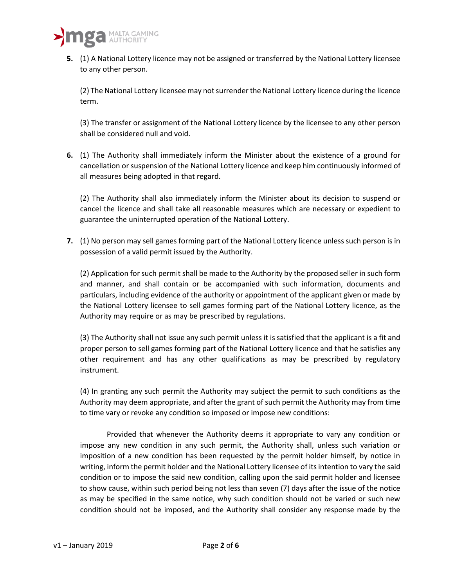

**5.** (1) A National Lottery licence may not be assigned or transferred by the National Lottery licensee to any other person.

(2) The National Lottery licensee may not surrender the National Lottery licence during the licence term.

(3) The transfer or assignment of the National Lottery licence by the licensee to any other person shall be considered null and void.

**6.** (1) The Authority shall immediately inform the Minister about the existence of a ground for cancellation or suspension of the National Lottery licence and keep him continuously informed of all measures being adopted in that regard.

(2) The Authority shall also immediately inform the Minister about its decision to suspend or cancel the licence and shall take all reasonable measures which are necessary or expedient to guarantee the uninterrupted operation of the National Lottery.

**7.** (1) No person may sell games forming part of the National Lottery licence unless such person is in possession of a valid permit issued by the Authority.

(2) Application for such permit shall be made to the Authority by the proposed seller in such form and manner, and shall contain or be accompanied with such information, documents and particulars, including evidence of the authority or appointment of the applicant given or made by the National Lottery licensee to sell games forming part of the National Lottery licence, as the Authority may require or as may be prescribed by regulations.

(3) The Authority shall not issue any such permit unless it is satisfied that the applicant is a fit and proper person to sell games forming part of the National Lottery licence and that he satisfies any other requirement and has any other qualifications as may be prescribed by regulatory instrument.

(4) In granting any such permit the Authority may subject the permit to such conditions as the Authority may deem appropriate, and after the grant of such permit the Authority may from time to time vary or revoke any condition so imposed or impose new conditions:

Provided that whenever the Authority deems it appropriate to vary any condition or impose any new condition in any such permit, the Authority shall, unless such variation or imposition of a new condition has been requested by the permit holder himself, by notice in writing, inform the permit holder and the National Lottery licensee of its intention to vary the said condition or to impose the said new condition, calling upon the said permit holder and licensee to show cause, within such period being not less than seven (7) days after the issue of the notice as may be specified in the same notice, why such condition should not be varied or such new condition should not be imposed, and the Authority shall consider any response made by the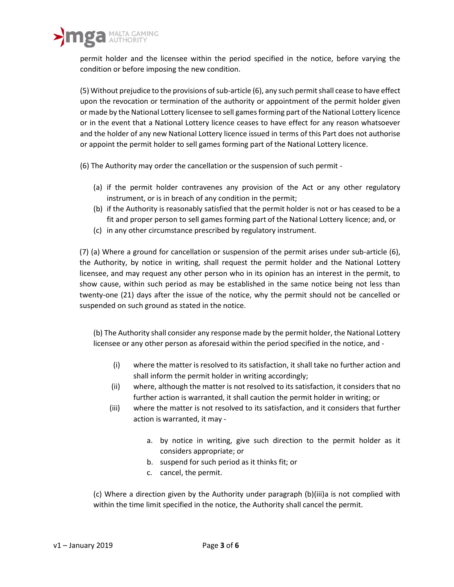permit holder and the licensee within the period specified in the notice, before varying the condition or before imposing the new condition.

(5) Without prejudice to the provisions of sub-article (6), any such permit shall cease to have effect upon the revocation or termination of the authority or appointment of the permit holder given or made by the National Lottery licensee to sell games forming part of the National Lottery licence or in the event that a National Lottery licence ceases to have effect for any reason whatsoever and the holder of any new National Lottery licence issued in terms of this Part does not authorise or appoint the permit holder to sell games forming part of the National Lottery licence.

(6) The Authority may order the cancellation or the suspension of such permit -

- (a) if the permit holder contravenes any provision of the Act or any other regulatory instrument, or is in breach of any condition in the permit;
- (b) if the Authority is reasonably satisfied that the permit holder is not or has ceased to be a fit and proper person to sell games forming part of the National Lottery licence; and, or
- (c) in any other circumstance prescribed by regulatory instrument.

(7) (a) Where a ground for cancellation or suspension of the permit arises under sub-article (6), the Authority, by notice in writing, shall request the permit holder and the National Lottery licensee, and may request any other person who in its opinion has an interest in the permit, to show cause, within such period as may be established in the same notice being not less than twenty-one (21) days after the issue of the notice, why the permit should not be cancelled or suspended on such ground as stated in the notice.

(b) The Authority shall consider any response made by the permit holder, the National Lottery licensee or any other person as aforesaid within the period specified in the notice, and -

- (i) where the matter is resolved to its satisfaction, it shall take no further action and shall inform the permit holder in writing accordingly;
- (ii) where, although the matter is not resolved to its satisfaction, it considers that no further action is warranted, it shall caution the permit holder in writing; or
- (iii) where the matter is not resolved to its satisfaction, and it considers that further action is warranted, it may
	- a. by notice in writing, give such direction to the permit holder as it considers appropriate; or
	- b. suspend for such period as it thinks fit; or
	- c. cancel, the permit.

(c) Where a direction given by the Authority under paragraph (b)(iii)a is not complied with within the time limit specified in the notice, the Authority shall cancel the permit.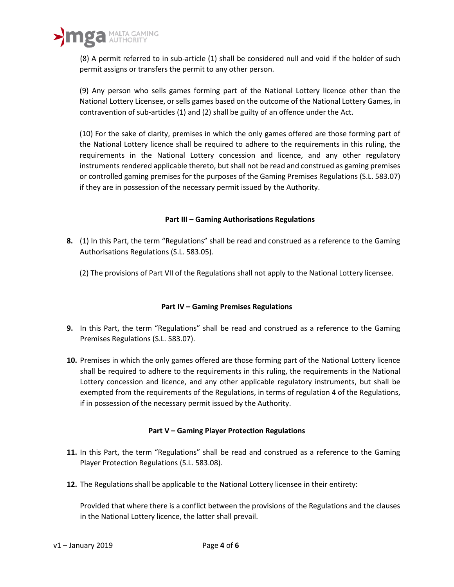

(8) A permit referred to in sub-article (1) shall be considered null and void if the holder of such permit assigns or transfers the permit to any other person.

(9) Any person who sells games forming part of the National Lottery licence other than the National Lottery Licensee, or sells games based on the outcome of the National Lottery Games, in contravention of sub-articles (1) and (2) shall be guilty of an offence under the Act.

(10) For the sake of clarity, premises in which the only games offered are those forming part of the National Lottery licence shall be required to adhere to the requirements in this ruling, the requirements in the National Lottery concession and licence, and any other regulatory instruments rendered applicable thereto, but shall not be read and construed as gaming premises or controlled gaming premises for the purposes of the Gaming Premises Regulations (S.L. 583.07) if they are in possession of the necessary permit issued by the Authority.

## **Part III – Gaming Authorisations Regulations**

- **8.** (1) In this Part, the term "Regulations" shall be read and construed as a reference to the Gaming Authorisations Regulations (S.L. 583.05).
	- (2) The provisions of Part VII of the Regulations shall not apply to the National Lottery licensee.

# **Part IV – Gaming Premises Regulations**

- **9.** In this Part, the term "Regulations" shall be read and construed as a reference to the Gaming Premises Regulations (S.L. 583.07).
- **10.** Premises in which the only games offered are those forming part of the National Lottery licence shall be required to adhere to the requirements in this ruling, the requirements in the National Lottery concession and licence, and any other applicable regulatory instruments, but shall be exempted from the requirements of the Regulations, in terms of regulation 4 of the Regulations, if in possession of the necessary permit issued by the Authority.

## **Part V – Gaming Player Protection Regulations**

- **11.** In this Part, the term "Regulations" shall be read and construed as a reference to the Gaming Player Protection Regulations (S.L. 583.08).
- **12.** The Regulations shall be applicable to the National Lottery licensee in their entirety:

Provided that where there is a conflict between the provisions of the Regulations and the clauses in the National Lottery licence, the latter shall prevail.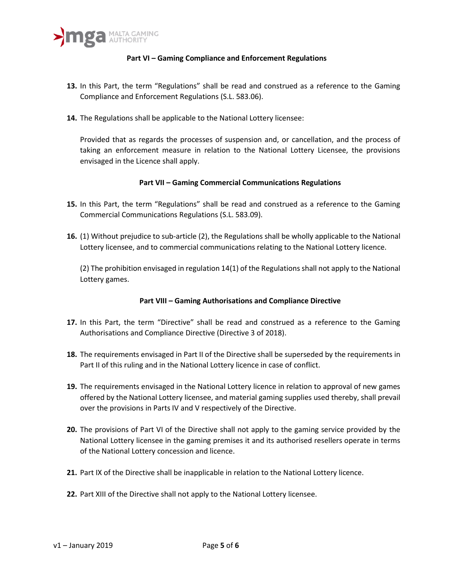## **Part VI – Gaming Compliance and Enforcement Regulations**

- **13.** In this Part, the term "Regulations" shall be read and construed as a reference to the Gaming Compliance and Enforcement Regulations (S.L. 583.06).
- **14.** The Regulations shall be applicable to the National Lottery licensee:

Provided that as regards the processes of suspension and, or cancellation, and the process of taking an enforcement measure in relation to the National Lottery Licensee, the provisions envisaged in the Licence shall apply.

#### **Part VII – Gaming Commercial Communications Regulations**

- **15.** In this Part, the term "Regulations" shall be read and construed as a reference to the Gaming Commercial Communications Regulations (S.L. 583.09).
- **16.** (1) Without prejudice to sub-article (2), the Regulations shall be wholly applicable to the National Lottery licensee, and to commercial communications relating to the National Lottery licence.

(2) The prohibition envisaged in regulation 14(1) of the Regulations shall not apply to the National Lottery games.

## **Part VIII – Gaming Authorisations and Compliance Directive**

- **17.** In this Part, the term "Directive" shall be read and construed as a reference to the Gaming Authorisations and Compliance Directive (Directive 3 of 2018).
- **18.** The requirements envisaged in Part II of the Directive shall be superseded by the requirements in Part II of this ruling and in the National Lottery licence in case of conflict.
- **19.** The requirements envisaged in the National Lottery licence in relation to approval of new games offered by the National Lottery licensee, and material gaming supplies used thereby, shall prevail over the provisions in Parts IV and V respectively of the Directive.
- **20.** The provisions of Part VI of the Directive shall not apply to the gaming service provided by the National Lottery licensee in the gaming premises it and its authorised resellers operate in terms of the National Lottery concession and licence.
- **21.** Part IX of the Directive shall be inapplicable in relation to the National Lottery licence.
- **22.** Part XIII of the Directive shall not apply to the National Lottery licensee.